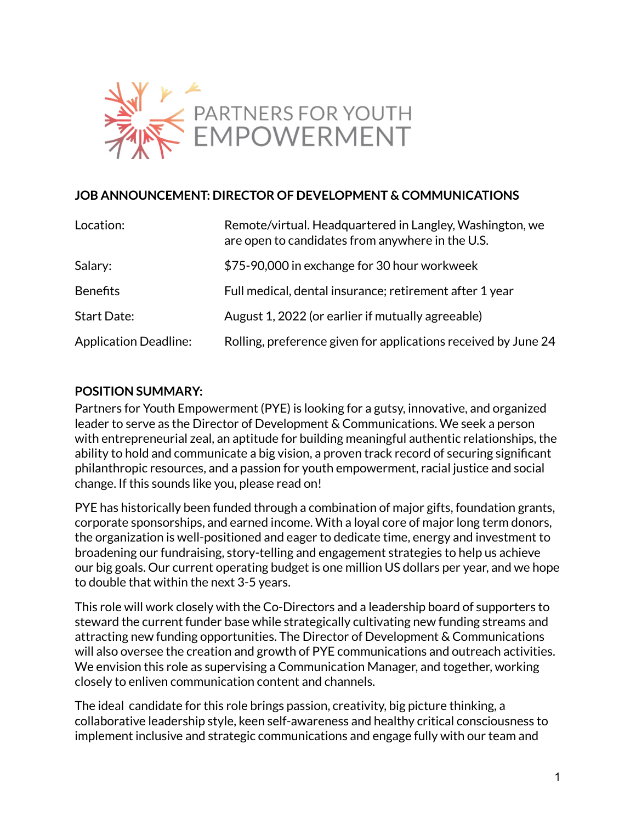

#### **JOB ANNOUNCEMENT: DIRECTOR OF DEVELOPMENT & COMMUNICATIONS**

| Location:                    | Remote/virtual. Headquartered in Langley, Washington, we<br>are open to candidates from anywhere in the U.S. |
|------------------------------|--------------------------------------------------------------------------------------------------------------|
| Salary:                      | \$75-90,000 in exchange for 30 hour workweek                                                                 |
| <b>Benefits</b>              | Full medical, dental insurance; retirement after 1 year                                                      |
| <b>Start Date:</b>           | August 1, 2022 (or earlier if mutually agreeable)                                                            |
| <b>Application Deadline:</b> | Rolling, preference given for applications received by June 24                                               |

#### **POSITION SUMMARY:**

Partners for Youth Empowerment (PYE) is looking for a gutsy, innovative, and organized leader to serve as the Director of Development & Communications. We seek a person with entrepreneurial zeal, an aptitude for building meaningful authentic relationships, the ability to hold and communicate a big vision, a proven track record of securing significant philanthropic resources, and a passion for youth empowerment, racial justice and social change. If this sounds like you, please read on!

PYE has historically been funded through a combination of major gifts, foundation grants, corporate sponsorships, and earned income. With a loyal core of major long term donors, the organization is well-positioned and eager to dedicate time, energy and investment to broadening our fundraising, story-telling and engagement strategies to help us achieve our big goals. Our current operating budget is one million US dollars per year, and we hope to double that within the next 3-5 years.

This role will work closely with the Co-Directors and a leadership board of supporters to steward the current funder base while strategically cultivating new funding streams and attracting new funding opportunities. The Director of Development & Communications will also oversee the creation and growth of PYE communications and outreach activities. We envision this role as supervising a Communication Manager, and together, working closely to enliven communication content and channels.

The ideal candidate for this role brings passion, creativity, big picture thinking, a collaborative leadership style, keen self-awareness and healthy critical consciousness to implement inclusive and strategic communications and engage fully with our team and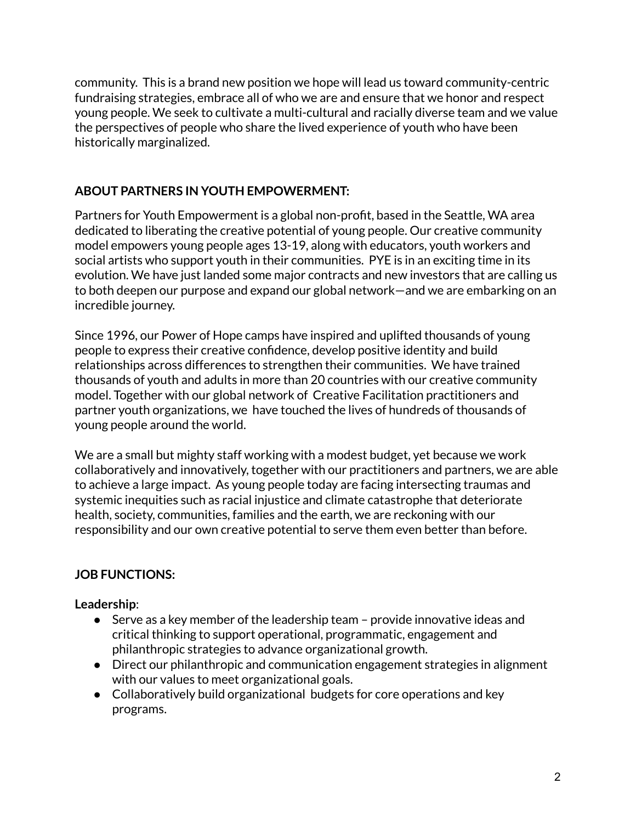community. This is a brand new position we hope will lead us toward community-centric fundraising strategies, embrace all of who we are and ensure that we honor and respect young people. We seek to cultivate a multi-cultural and racially diverse team and we value the perspectives of people who share the lived experience of youth who have been historically marginalized.

## **ABOUT PARTNERS IN YOUTH EMPOWERMENT:**

Partners for Youth Empowerment is a global non-profit, based in the Seattle, WA area dedicated to liberating the creative potential of young people. Our creative community model empowers young people ages 13-19, along with educators, youth workers and social artists who support youth in their communities. PYE is in an exciting time in its evolution. We have just landed some major contracts and new investors that are calling us to both deepen our purpose and expand our global network—and we are embarking on an incredible journey.

Since 1996, our Power of Hope camps have inspired and uplifted thousands of young people to express their creative confidence, develop positive identity and build relationships across differences to strengthen their communities. We have trained thousands of youth and adults in more than 20 countries with our creative community model. Together with our global network of Creative Facilitation practitioners and partner youth organizations, we have touched the lives of hundreds of thousands of young people around the world.

We are a small but mighty staff working with a modest budget, yet because we work collaboratively and innovatively, together with our practitioners and partners, we are able to achieve a large impact. As young people today are facing intersecting traumas and systemic inequities such as racial injustice and climate catastrophe that deteriorate health, society, communities, families and the earth, we are reckoning with our responsibility and our own creative potential to serve them even better than before.

## **JOB FUNCTIONS:**

## **Leadership**:

- **●** Serve as a key member of the leadership team provide innovative ideas and critical thinking to support operational, programmatic, engagement and philanthropic strategies to advance organizational growth.
- **●** Direct our philanthropic and communication engagement strategies in alignment with our values to meet organizational goals.
- **●** Collaboratively build organizational budgets for core operations and key programs.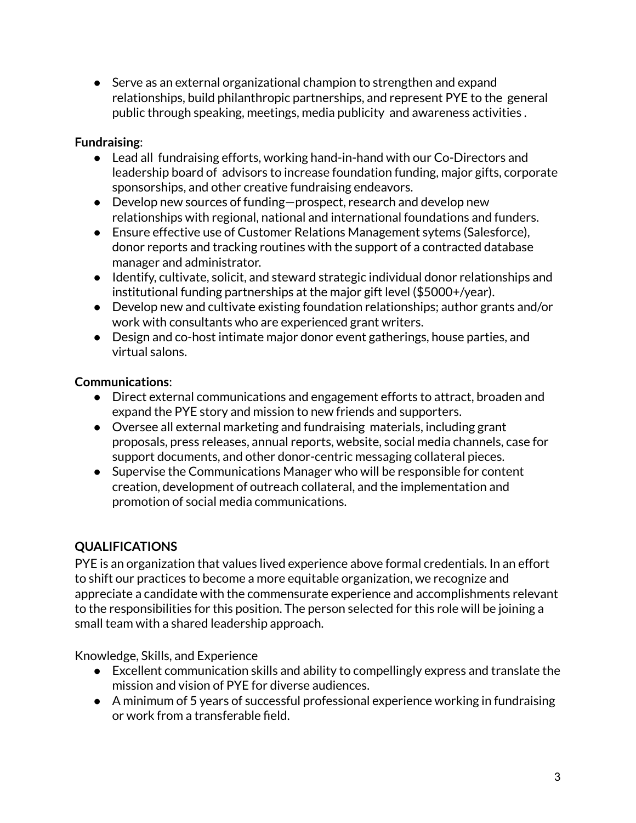● Serve as an external organizational champion to strengthen and expand relationships, build philanthropic partnerships, and represent PYE to the general public through speaking, meetings, media publicity and awareness activities .

#### **Fundraising**:

- **●** Lead all fundraising efforts, working hand-in-hand with our Co-Directors and leadership board of advisors to increase foundation funding, major gifts, corporate sponsorships, and other creative fundraising endeavors.
- **●** Develop new sources of funding—prospect, research and develop new relationships with regional, national and international foundations and funders.
- Ensure effective use of Customer Relations Management sytems (Salesforce), donor reports and tracking routines with the support of a contracted database manager and administrator.
- Identify, cultivate, solicit, and steward strategic individual donor relationships and institutional funding partnerships at the major gift level (\$5000+/year).
- Develop new and cultivate existing foundation relationships; author grants and/or work with consultants who are experienced grant writers.
- Design and co-host intimate major donor event gatherings, house parties, and virtual salons.

## **Communications**:

- Direct external communications and engagement efforts to attract, broaden and expand the PYE story and mission to new friends and supporters.
- Oversee all external marketing and fundraising materials, including grant proposals, press releases, annual reports, website, social media channels, case for support documents, and other donor-centric messaging collateral pieces.
- Supervise the Communications Manager who will be responsible for content creation, development of outreach collateral, and the implementation and promotion of social media communications.

# **QUALIFICATIONS**

PYE is an organization that values lived experience above formal credentials. In an effort to shift our practices to become a more equitable organization, we recognize and appreciate a candidate with the commensurate experience and accomplishments relevant to the responsibilities for this position. The person selected for this role will be joining a small team with a shared leadership approach.

Knowledge, Skills, and Experience

- Excellent communication skills and ability to compellingly express and translate the mission and vision of PYE for diverse audiences.
- A minimum of 5 years of successful professional experience working in fundraising or work from a transferable field.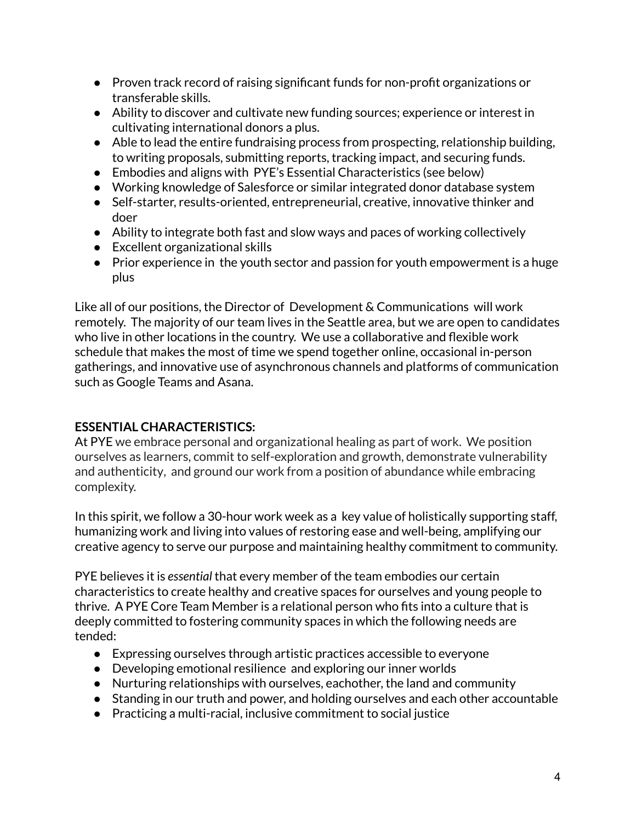- Proven track record of raising significant funds for non-profit organizations or transferable skills.
- Ability to discover and cultivate new funding sources; experience or interest in cultivating international donors a plus.
- Able to lead the entire fundraising process from prospecting, relationship building, to writing proposals, submitting reports, tracking impact, and securing funds.
- Embodies and aligns with PYE's Essential Characteristics (see below)
- Working knowledge of Salesforce or similar integrated donor database system
- Self-starter, results-oriented, entrepreneurial, creative, innovative thinker and doer
- Ability to integrate both fast and slow ways and paces of working collectively
- Excellent organizational skills
- Prior experience in the youth sector and passion for youth empowerment is a huge plus

Like all of our positions, the Director of Development & Communications will work remotely. The majority of our team lives in the Seattle area, but we are open to candidates who live in other locations in the country. We use a collaborative and flexible work schedule that makes the most of time we spend together online, occasional in-person gatherings, and innovative use of asynchronous channels and platforms of communication such as Google Teams and Asana.

## **ESSENTIAL CHARACTERISTICS:**

At PYE we embrace personal and organizational healing as part of work. We position ourselves as learners, commit to self-exploration and growth, demonstrate vulnerability and authenticity, and ground our work from a position of abundance while embracing complexity.

In this spirit, we follow a 30-hour work week as a key value of holistically supporting staff, humanizing work and living into values of restoring ease and well-being, amplifying our creative agency to serve our purpose and maintaining healthy commitment to community.

PYE believes it is *essential* that every member of the team embodies our certain characteristics to create healthy and creative spaces for ourselves and young people to thrive. A PYE Core Team Member is a relational person who fits into a culture that is deeply committed to fostering community spaces in which the following needs are tended:

- Expressing ourselves through artistic practices accessible to everyone
- Developing emotional resilience and exploring our inner worlds
- Nurturing relationships with ourselves, eachother, the land and community
- Standing in our truth and power, and holding ourselves and each other accountable
- Practicing a multi-racial, inclusive commitment to social justice